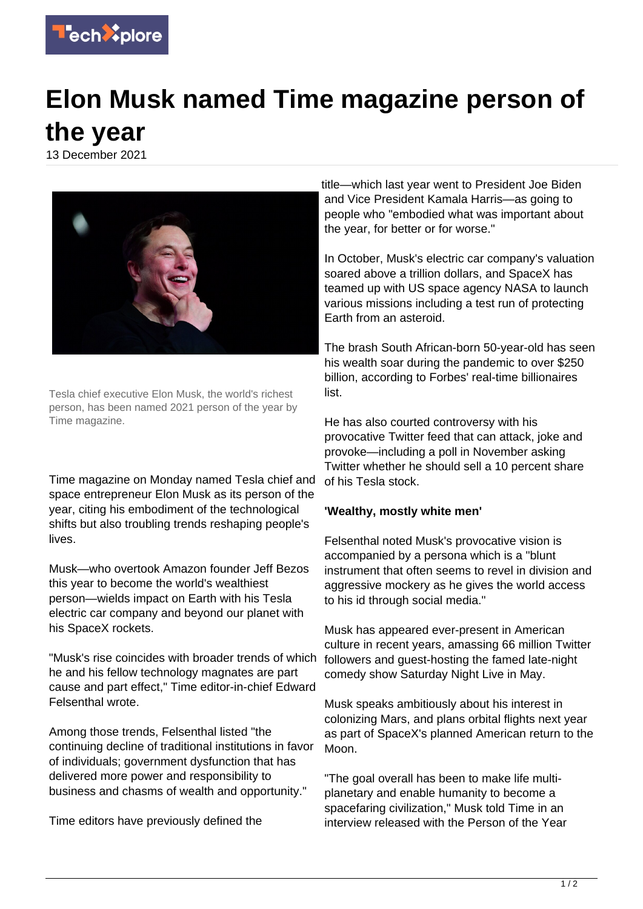

## **Elon Musk named Time magazine person of the year**

13 December 2021



Tesla chief executive Elon Musk, the world's richest person, has been named 2021 person of the year by Time magazine.

Time magazine on Monday named Tesla chief and space entrepreneur Elon Musk as its person of the year, citing his embodiment of the technological shifts but also troubling trends reshaping people's lives.

Musk—who overtook Amazon founder Jeff Bezos this year to become the world's wealthiest person—wields impact on Earth with his Tesla electric car company and beyond our planet with his SpaceX rockets.

"Musk's rise coincides with broader trends of which he and his fellow technology magnates are part cause and part effect," Time editor-in-chief Edward Felsenthal wrote.

Among those trends, Felsenthal listed "the continuing decline of traditional institutions in favor of individuals; government dysfunction that has delivered more power and responsibility to business and chasms of wealth and opportunity."

Time editors have previously defined the

title—which last year went to President Joe Biden and Vice President Kamala Harris—as going to people who "embodied what was important about the year, for better or for worse."

In October, Musk's electric car company's valuation soared above a trillion dollars, and SpaceX has teamed up with US space agency NASA to launch various missions including a test run of protecting Earth from an asteroid.

The brash South African-born 50-year-old has seen his wealth soar during the pandemic to over \$250 billion, according to Forbes' real-time billionaires list.

He has also courted controversy with his provocative Twitter feed that can attack, joke and provoke—including a poll in November asking Twitter whether he should sell a 10 percent share of his Tesla stock.

## **'Wealthy, mostly white men'**

Felsenthal noted Musk's provocative vision is accompanied by a persona which is a "blunt instrument that often seems to revel in division and aggressive mockery as he gives the world access to his id through social media."

Musk has appeared ever-present in American culture in recent years, amassing 66 million Twitter followers and guest-hosting the famed late-night comedy show Saturday Night Live in May.

Musk speaks ambitiously about his interest in colonizing Mars, and plans orbital flights next year as part of SpaceX's planned American return to the Moon.

"The goal overall has been to make life multiplanetary and enable humanity to become a spacefaring civilization," Musk told Time in an interview released with the Person of the Year